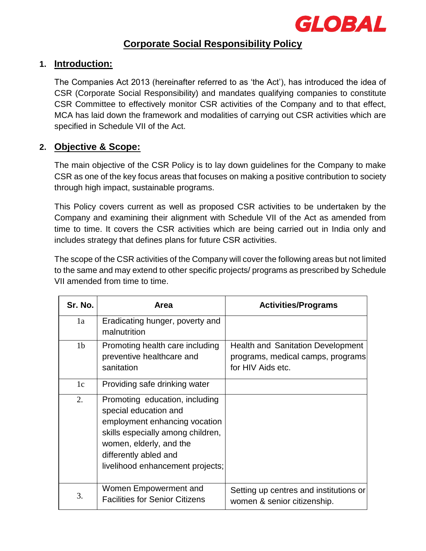

# **Corporate Social Responsibility Policy**

### **1. Introduction:**

The Companies Act 2013 (hereinafter referred to as 'the Act'), has introduced the idea of CSR (Corporate Social Responsibility) and mandates qualifying companies to constitute CSR Committee to effectively monitor CSR activities of the Company and to that effect, MCA has laid down the framework and modalities of carrying out CSR activities which are specified in Schedule VII of the Act.

## **2. Objective & Scope:**

The main objective of the CSR Policy is to lay down guidelines for the Company to make CSR as one of the key focus areas that focuses on making a positive contribution to society through high impact, sustainable programs.

This Policy covers current as well as proposed CSR activities to be undertaken by the Company and examining their alignment with Schedule VII of the Act as amended from time to time. It covers the CSR activities which are being carried out in India only and includes strategy that defines plans for future CSR activities.

The scope of the CSR activities of the Company will cover the following areas but not limited to the same and may extend to other specific projects/ programs as prescribed by Schedule VII amended from time to time.

| Sr. No.        | Area                                                                                                                                                                                                                  | <b>Activities/Programs</b>                                                                         |
|----------------|-----------------------------------------------------------------------------------------------------------------------------------------------------------------------------------------------------------------------|----------------------------------------------------------------------------------------------------|
| 1a             | Eradicating hunger, poverty and<br>malnutrition                                                                                                                                                                       |                                                                                                    |
| 1 <sub>b</sub> | Promoting health care including<br>preventive healthcare and<br>sanitation                                                                                                                                            | <b>Health and Sanitation Development</b><br>programs, medical camps, programs<br>for HIV Aids etc. |
| 1c             | Providing safe drinking water                                                                                                                                                                                         |                                                                                                    |
| 2.             | Promoting education, including<br>special education and<br>employment enhancing vocation<br>skills especially among children,<br>women, elderly, and the<br>differently abled and<br>livelihood enhancement projects; |                                                                                                    |
| 3.             | Women Empowerment and<br><b>Facilities for Senior Citizens</b>                                                                                                                                                        | Setting up centres and institutions or<br>women & senior citizenship.                              |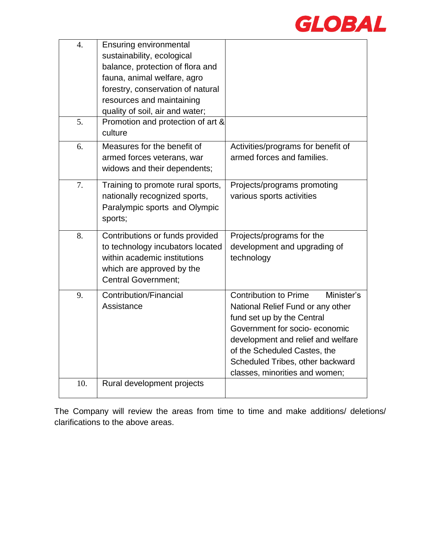

| 4.  | <b>Ensuring environmental</b><br>sustainability, ecological<br>balance, protection of flora and<br>fauna, animal welfare, agro<br>forestry, conservation of natural<br>resources and maintaining<br>quality of soil, air and water; |                                                                                                                                                                                                                                                                                            |
|-----|-------------------------------------------------------------------------------------------------------------------------------------------------------------------------------------------------------------------------------------|--------------------------------------------------------------------------------------------------------------------------------------------------------------------------------------------------------------------------------------------------------------------------------------------|
| 5.  | Promotion and protection of art &<br>culture                                                                                                                                                                                        |                                                                                                                                                                                                                                                                                            |
| 6.  | Measures for the benefit of<br>armed forces veterans, war<br>widows and their dependents;                                                                                                                                           | Activities/programs for benefit of<br>armed forces and families.                                                                                                                                                                                                                           |
| 7.  | Training to promote rural sports,<br>nationally recognized sports,<br>Paralympic sports and Olympic<br>sports;                                                                                                                      | Projects/programs promoting<br>various sports activities                                                                                                                                                                                                                                   |
| 8.  | Contributions or funds provided<br>to technology incubators located<br>within academic institutions<br>which are approved by the<br><b>Central Government;</b>                                                                      | Projects/programs for the<br>development and upgrading of<br>technology                                                                                                                                                                                                                    |
| 9.  | Contribution/Financial<br>Assistance                                                                                                                                                                                                | <b>Contribution to Prime</b><br>Minister's<br>National Relief Fund or any other<br>fund set up by the Central<br>Government for socio-economic<br>development and relief and welfare<br>of the Scheduled Castes, the<br>Scheduled Tribes, other backward<br>classes, minorities and women; |
| 10. | Rural development projects                                                                                                                                                                                                          |                                                                                                                                                                                                                                                                                            |

The Company will review the areas from time to time and make additions/ deletions/ clarifications to the above areas.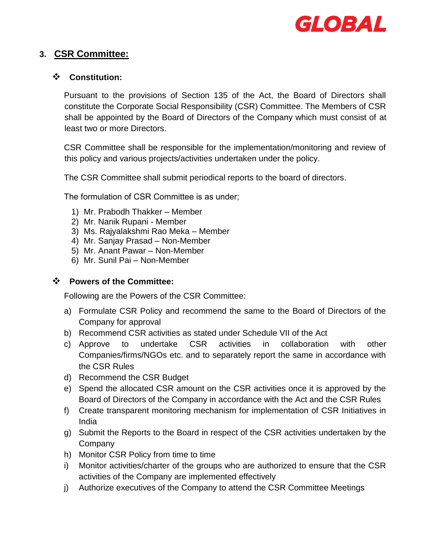

## **3. CSR Committee:**

### ❖ **Constitution:**

Pursuant to the provisions of Section 135 of the Act, the Board of Directors shall constitute the Corporate Social Responsibility (CSR) Committee. The Members of CSR shall be appointed by the Board of Directors of the Company which must consist of at least two or more Directors.

CSR Committee shall be responsible for the implementation/monitoring and review of this policy and various projects/activities undertaken under the policy.

The CSR Committee shall submit periodical reports to the board of directors.

The formulation of CSR Committee is as under;

- 1) Mr. Prabodh Thakker Member
- 2) Mr. Nanik Rupani Member
- 3) Ms. Rajyalakshmi Rao Meka Member
- 4) Mr. Sanjay Prasad Non-Member
- 5) Mr. Anant Pawar Non-Member
- 6) Mr. Sunil Pai Non-Member

### ❖ **Powers of the Committee:**

Following are the Powers of the CSR Committee:

- a) Formulate CSR Policy and recommend the same to the Board of Directors of the Company for approval
- b) Recommend CSR activities as stated under Schedule VII of the Act
- c) Approve to undertake CSR activities in collaboration with other Companies/firms/NGOs etc. and to separately report the same in accordance with the CSR Rules
- d) Recommend the CSR Budget
- e) Spend the allocated CSR amount on the CSR activities once it is approved by the Board of Directors of the Company in accordance with the Act and the CSR Rules
- f) Create transparent monitoring mechanism for implementation of CSR Initiatives in India
- g) Submit the Reports to the Board in respect of the CSR activities undertaken by the Company
- h) Monitor CSR Policy from time to time
- i) Monitor activities/charter of the groups who are authorized to ensure that the CSR activities of the Company are implemented effectively
- j) Authorize executives of the Company to attend the CSR Committee Meetings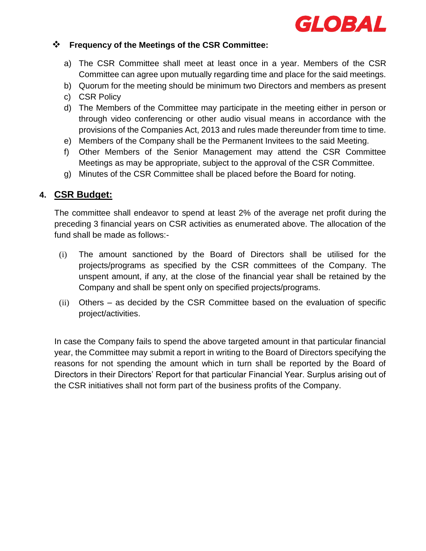

### ❖ **Frequency of the Meetings of the CSR Committee:**

- a) The CSR Committee shall meet at least once in a year. Members of the CSR Committee can agree upon mutually regarding time and place for the said meetings.
- b) Quorum for the meeting should be minimum two Directors and members as present
- c) CSR Policy
- d) The Members of the Committee may participate in the meeting either in person or through video conferencing or other audio visual means in accordance with the provisions of the Companies Act, 2013 and rules made thereunder from time to time.
- e) Members of the Company shall be the Permanent Invitees to the said Meeting.
- f) Other Members of the Senior Management may attend the CSR Committee Meetings as may be appropriate, subject to the approval of the CSR Committee.
- g) Minutes of the CSR Committee shall be placed before the Board for noting.

## **4. CSR Budget:**

The committee shall endeavor to spend at least 2% of the average net profit during the preceding 3 financial years on CSR activities as enumerated above. The allocation of the fund shall be made as follows:-

- (i) The amount sanctioned by the Board of Directors shall be utilised for the projects/programs as specified by the CSR committees of the Company. The unspent amount, if any, at the close of the financial year shall be retained by the Company and shall be spent only on specified projects/programs.
- (ii) Others as decided by the CSR Committee based on the evaluation of specific project/activities.

In case the Company fails to spend the above targeted amount in that particular financial year, the Committee may submit a report in writing to the Board of Directors specifying the reasons for not spending the amount which in turn shall be reported by the Board of Directors in their Directors' Report for that particular Financial Year. Surplus arising out of the CSR initiatives shall not form part of the business profits of the Company.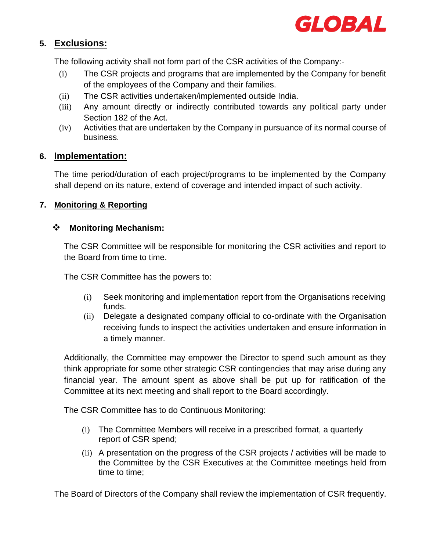

## **5. Exclusions:**

The following activity shall not form part of the CSR activities of the Company:-

- (i) The CSR projects and programs that are implemented by the Company for benefit of the employees of the Company and their families.
- (ii) The CSR activities undertaken/implemented outside India.
- (iii) Any amount directly or indirectly contributed towards any political party under Section 182 of the Act.
- (iv) Activities that are undertaken by the Company in pursuance of its normal course of business.

## **6. Implementation:**

The time period/duration of each project/programs to be implemented by the Company shall depend on its nature, extend of coverage and intended impact of such activity.

### **7. Monitoring & Reporting**

### ❖ **Monitoring Mechanism:**

The CSR Committee will be responsible for monitoring the CSR activities and report to the Board from time to time.

The CSR Committee has the powers to:

- (i) Seek monitoring and implementation report from the Organisations receiving funds.
- (ii) Delegate a designated company official to co-ordinate with the Organisation receiving funds to inspect the activities undertaken and ensure information in a timely manner.

Additionally, the Committee may empower the Director to spend such amount as they think appropriate for some other strategic CSR contingencies that may arise during any financial year. The amount spent as above shall be put up for ratification of the Committee at its next meeting and shall report to the Board accordingly.

The CSR Committee has to do Continuous Monitoring:

- (i) The Committee Members will receive in a prescribed format, a quarterly report of CSR spend;
- (ii) A presentation on the progress of the CSR projects / activities will be made to the Committee by the CSR Executives at the Committee meetings held from time to time;

The Board of Directors of the Company shall review the implementation of CSR frequently.